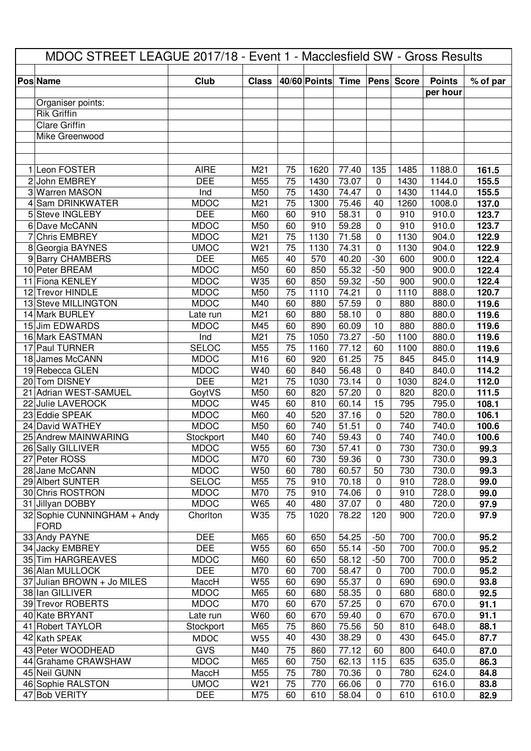| Club<br>40/60 Points<br><b>Time</b><br><b>Pens</b> Score<br><b>Points</b><br>% of par<br><b>Pos Name</b><br><b>Class</b><br>per hour<br>Organiser points:<br>Rik Griffin<br><b>Clare Griffin</b><br>Mike Greenwood<br>1 Leon FOSTER<br><b>AIRE</b><br>75<br>M21<br>1620<br>77.40<br>135<br>1485<br>1188.0<br>161.5<br>75<br>2 John EMBREY<br><b>DEE</b><br>1430<br>73.07<br>1430<br>1144.0<br>M55<br>$\mathbf 0$<br>155.5<br>75<br>3 Warren MASON<br>M50<br>1430<br>74.47<br>1430<br>1144.0<br>155.5<br>Ind<br>$\mathbf 0$<br>75<br>137.0<br><b>Sam DRINKWATER</b><br><b>MDOC</b><br>M <sub>21</sub><br>1300<br>75.46<br>1260<br>1008.0<br>40<br><b>DEE</b><br><b>Steve INGLEBY</b><br>M60<br>60<br>58.31<br>910.0<br>910<br>$\mathbf{0}$<br>910<br>123.7<br>5.<br>6 Dave McCANN<br><b>MDOC</b><br>123.7<br>M50<br>60<br>910<br>59.28<br>910<br>910.0<br>0<br>75<br>122.9<br><b>Chris EMBREY</b><br><b>MDOC</b><br>1130<br>71.58<br>1130<br>904.0<br>M21<br>$\mathbf{0}$<br>8 Georgia BAYNES<br><b>UMOC</b><br>W21<br>75<br>1130<br>74.31<br>1130<br>904.0<br>122.9<br>0<br><b>DEE</b><br>9 Barry CHAMBERS<br>M65<br>570<br>40.20<br>900.0<br>122.4<br>40<br>$-30$<br>600<br>122.4<br>10 Peter BREAM<br><b>MDOC</b><br>M50<br>55.32<br>$-50$<br>900<br>900.0<br>60<br>850<br>122.4<br>11 Fiona KENLEY<br><b>MDOC</b><br>W35<br>59.32<br>900<br>900.0<br>60<br>850<br>$-50$<br>12 Trevor HINDLE<br><b>MDOC</b><br>M50<br>75<br>74.21<br>888.0<br>1110<br>0<br>1110<br>120.7<br><b>MDOC</b><br>13 Steve MILLINGTON<br>57.59<br>880.0<br>119.6<br>M40<br>60<br>880<br>$\Omega$<br>880<br>14 Mark BURLEY<br>880.0<br>119.6<br>Late run<br>M21<br>60<br>880<br>58.10<br>0<br>880<br>15 Jim EDWARDS<br>10<br><b>MDOC</b><br>M45<br>60<br>890<br>880<br>880.0<br>60.09<br>119.6<br>75<br>16 Mark EASTMAN<br>M <sub>21</sub><br>1050<br>73.27<br>$-50$<br>1100<br>880.0<br>Ind<br>119.6<br>Paul TURNER<br><b>SELOC</b><br>75<br>119.6<br>M55<br>1160<br>77.12<br>60<br>1100<br>880.0<br>17<br><b>MDOC</b><br>M16<br>60<br>61.25<br>75<br>114.9<br>18 James McCANN<br>920<br>845<br>845.0<br><b>MDOC</b><br>60<br>56.48<br>19 Rebecca GLEN<br>W40<br>840<br>$\Omega$<br>840<br>840.0<br>114.2<br><b>DEE</b><br>20 Tom DISNEY<br>M <sub>21</sub><br>75<br>73.14<br>112.0<br>1030<br>0<br>1030<br>824.0<br>111.5<br>21 Adrian WEST-SAMUEL<br>820<br>57.20<br>820.0<br>GoytVS<br>M50<br>60<br>0<br>820<br>22 Julie LAVEROCK<br><b>MDOC</b><br>W45<br>15<br>795<br>795.0<br>108.1<br>60<br>810<br>60.14<br>23 Eddie SPEAK<br><b>MDOC</b><br>520<br>520<br>106.1<br>M60<br>40<br>37.16<br>0<br>780.0<br>24 David WATHEY<br><b>MDOC</b><br>740<br>740<br>740.0<br>100.6<br>M50<br>60<br>51.51<br>$\mathbf{0}$<br>740.0<br>25 Andrew MAINWARING<br>M40<br>60<br>740<br>59.43<br>0<br>740<br>Stockport<br>100.6<br>26 Sally GILLIVER<br><b>W55</b><br>60<br>730<br>730<br><b>MDOC</b><br>57.41<br>$\mathsf{O}\xspace$<br>730.0<br>99.3<br><b>MDOC</b><br>M70<br>60<br>730<br>730<br>730.0<br>99.3<br>27 Peter ROSS<br>59.36<br>0<br><b>MDOC</b><br>99.3<br>28 Jane McCANN<br>W50<br>60<br>780<br>50<br>730<br>730.0<br>60.57<br><b>SELOC</b><br>29 Albert SUNTER<br>M55<br>75<br>910<br>70.18<br>910<br>728.0<br>0<br>99.0<br>30 Chris ROSTRON<br><b>MDOC</b><br>M70<br>75<br>74.06<br>910<br>728.0<br>910<br>0<br>99.0<br><b>MDOC</b><br>97.9<br>31 Jillyan DOBBY<br>W65<br>40<br>480<br>37.07<br>720.0<br>0<br>480<br>32 Sophie CUNNINGHAM + Andy<br>Chorlton<br>W35<br>75<br>78.22<br>900<br>720.0<br>97.9<br>1020<br>120<br><b>FORD</b><br>33 Andy PAYNE<br><b>DEE</b><br>700.0<br>M65<br>54.25<br>700<br>95.2<br>60<br>650<br>$-50$<br>95.2<br>34 Jacky EMBREY<br><b>DEE</b><br>W <sub>55</sub><br>700<br>700.0<br>60<br>650<br>55.14<br>$-50$<br><b>MDOC</b><br>700.0<br>95.2<br>35 Tim HARGREAVES<br>M60<br>60<br>650<br>58.12<br>$-50$<br>700<br>36 Alan MULLOCK<br><b>DEE</b><br>700.0<br>95.2<br>M70<br>60<br>700<br>58.47<br>$\mathbf 0$<br>700<br>690.0<br>93.8<br>37 Julian BROWN + Jo MILES<br>MaccH<br>W <sub>55</sub><br>60<br>690<br>55.37<br>$\mathbf 0$<br>690<br><b>MDOC</b><br>680.0<br>92.5<br>38 Ian GILLIVER<br>M65<br>60<br>680<br>58.35<br>680<br>0<br><b>MDOC</b><br>670<br>670<br>39 Trevor ROBERTS<br>M70<br>60<br>57.25<br>670.0<br>91.1<br>0<br>W60<br>60<br>91.1<br>40 Kate BRYANT<br>Late run<br>670<br>59.40<br>0<br>670<br>670.0<br>41 Robert TAYLOR<br>Stockport<br>M65<br>75<br>860<br>75.56<br>50<br>810<br>648.0<br>88.1<br>40<br>430<br>38.29<br>0<br>430<br>645.0<br>87.7<br>42 Kath SPEAK<br><b>MDOC</b><br><b>W55</b><br><b>GVS</b><br>43 Peter WOODHEAD<br>77.12<br>M40<br>75<br>860<br>60<br>800<br>640.0<br>87.0<br><b>MDOC</b><br>44 Grahame CRAWSHAW<br>M65<br>62.13<br>115<br>635<br>635.0<br>86.3<br>60<br>750<br>75<br>84.8<br>45 Neil GUNN<br>MaccH<br>M55<br>780<br>70.36<br>780<br>624.0<br>0<br><b>UMOC</b><br>75<br>46 Sophie RALSTON<br>W21<br>770<br>$\mathbf 0$<br>616.0<br>83.8<br>66.06<br>770<br>47 Bob VERITY<br>DEE<br>M75<br>60<br>610<br>58.04<br>0<br>610<br>610.0<br>82.9 | MDOC STREET LEAGUE 2017/18 - Event 1 - Macclesfield SW - Gross Results |  |  |  |  |  |  |  |  |  |
|------------------------------------------------------------------------------------------------------------------------------------------------------------------------------------------------------------------------------------------------------------------------------------------------------------------------------------------------------------------------------------------------------------------------------------------------------------------------------------------------------------------------------------------------------------------------------------------------------------------------------------------------------------------------------------------------------------------------------------------------------------------------------------------------------------------------------------------------------------------------------------------------------------------------------------------------------------------------------------------------------------------------------------------------------------------------------------------------------------------------------------------------------------------------------------------------------------------------------------------------------------------------------------------------------------------------------------------------------------------------------------------------------------------------------------------------------------------------------------------------------------------------------------------------------------------------------------------------------------------------------------------------------------------------------------------------------------------------------------------------------------------------------------------------------------------------------------------------------------------------------------------------------------------------------------------------------------------------------------------------------------------------------------------------------------------------------------------------------------------------------------------------------------------------------------------------------------------------------------------------------------------------------------------------------------------------------------------------------------------------------------------------------------------------------------------------------------------------------------------------------------------------------------------------------------------------------------------------------------------------------------------------------------------------------------------------------------------------------------------------------------------------------------------------------------------------------------------------------------------------------------------------------------------------------------------------------------------------------------------------------------------------------------------------------------------------------------------------------------------------------------------------------------------------------------------------------------------------------------------------------------------------------------------------------------------------------------------------------------------------------------------------------------------------------------------------------------------------------------------------------------------------------------------------------------------------------------------------------------------------------------------------------------------------------------------------------------------------------------------------------------------------------------------------------------------------------------------------------------------------------------------------------------------------------------------------------------------------------------------------------------------------------------------------------------------------------------------------------------------------------------------------------------------------------------------------------------------------------------------------------------------------------------------------------------------------------------------------------------------------------------------------------------------------------------------------------------------------------------------------------------------------------------------------------------------------------------------------------------------------------------------------------------------------------------------------------------------------------------------------------------------------------------------------------------------------------------------------------------------------------------------------------------------------------------------------------------------------------------------------------------------------------|------------------------------------------------------------------------|--|--|--|--|--|--|--|--|--|
|                                                                                                                                                                                                                                                                                                                                                                                                                                                                                                                                                                                                                                                                                                                                                                                                                                                                                                                                                                                                                                                                                                                                                                                                                                                                                                                                                                                                                                                                                                                                                                                                                                                                                                                                                                                                                                                                                                                                                                                                                                                                                                                                                                                                                                                                                                                                                                                                                                                                                                                                                                                                                                                                                                                                                                                                                                                                                                                                                                                                                                                                                                                                                                                                                                                                                                                                                                                                                                                                                                                                                                                                                                                                                                                                                                                                                                                                                                                                                                                                                                                                                                                                                                                                                                                                                                                                                                                                                                                                                                                                                                                                                                                                                                                                                                                                                                                                                                                                                                                                                              |                                                                        |  |  |  |  |  |  |  |  |  |
|                                                                                                                                                                                                                                                                                                                                                                                                                                                                                                                                                                                                                                                                                                                                                                                                                                                                                                                                                                                                                                                                                                                                                                                                                                                                                                                                                                                                                                                                                                                                                                                                                                                                                                                                                                                                                                                                                                                                                                                                                                                                                                                                                                                                                                                                                                                                                                                                                                                                                                                                                                                                                                                                                                                                                                                                                                                                                                                                                                                                                                                                                                                                                                                                                                                                                                                                                                                                                                                                                                                                                                                                                                                                                                                                                                                                                                                                                                                                                                                                                                                                                                                                                                                                                                                                                                                                                                                                                                                                                                                                                                                                                                                                                                                                                                                                                                                                                                                                                                                                                              |                                                                        |  |  |  |  |  |  |  |  |  |
|                                                                                                                                                                                                                                                                                                                                                                                                                                                                                                                                                                                                                                                                                                                                                                                                                                                                                                                                                                                                                                                                                                                                                                                                                                                                                                                                                                                                                                                                                                                                                                                                                                                                                                                                                                                                                                                                                                                                                                                                                                                                                                                                                                                                                                                                                                                                                                                                                                                                                                                                                                                                                                                                                                                                                                                                                                                                                                                                                                                                                                                                                                                                                                                                                                                                                                                                                                                                                                                                                                                                                                                                                                                                                                                                                                                                                                                                                                                                                                                                                                                                                                                                                                                                                                                                                                                                                                                                                                                                                                                                                                                                                                                                                                                                                                                                                                                                                                                                                                                                                              |                                                                        |  |  |  |  |  |  |  |  |  |
|                                                                                                                                                                                                                                                                                                                                                                                                                                                                                                                                                                                                                                                                                                                                                                                                                                                                                                                                                                                                                                                                                                                                                                                                                                                                                                                                                                                                                                                                                                                                                                                                                                                                                                                                                                                                                                                                                                                                                                                                                                                                                                                                                                                                                                                                                                                                                                                                                                                                                                                                                                                                                                                                                                                                                                                                                                                                                                                                                                                                                                                                                                                                                                                                                                                                                                                                                                                                                                                                                                                                                                                                                                                                                                                                                                                                                                                                                                                                                                                                                                                                                                                                                                                                                                                                                                                                                                                                                                                                                                                                                                                                                                                                                                                                                                                                                                                                                                                                                                                                                              |                                                                        |  |  |  |  |  |  |  |  |  |
|                                                                                                                                                                                                                                                                                                                                                                                                                                                                                                                                                                                                                                                                                                                                                                                                                                                                                                                                                                                                                                                                                                                                                                                                                                                                                                                                                                                                                                                                                                                                                                                                                                                                                                                                                                                                                                                                                                                                                                                                                                                                                                                                                                                                                                                                                                                                                                                                                                                                                                                                                                                                                                                                                                                                                                                                                                                                                                                                                                                                                                                                                                                                                                                                                                                                                                                                                                                                                                                                                                                                                                                                                                                                                                                                                                                                                                                                                                                                                                                                                                                                                                                                                                                                                                                                                                                                                                                                                                                                                                                                                                                                                                                                                                                                                                                                                                                                                                                                                                                                                              |                                                                        |  |  |  |  |  |  |  |  |  |
|                                                                                                                                                                                                                                                                                                                                                                                                                                                                                                                                                                                                                                                                                                                                                                                                                                                                                                                                                                                                                                                                                                                                                                                                                                                                                                                                                                                                                                                                                                                                                                                                                                                                                                                                                                                                                                                                                                                                                                                                                                                                                                                                                                                                                                                                                                                                                                                                                                                                                                                                                                                                                                                                                                                                                                                                                                                                                                                                                                                                                                                                                                                                                                                                                                                                                                                                                                                                                                                                                                                                                                                                                                                                                                                                                                                                                                                                                                                                                                                                                                                                                                                                                                                                                                                                                                                                                                                                                                                                                                                                                                                                                                                                                                                                                                                                                                                                                                                                                                                                                              |                                                                        |  |  |  |  |  |  |  |  |  |
|                                                                                                                                                                                                                                                                                                                                                                                                                                                                                                                                                                                                                                                                                                                                                                                                                                                                                                                                                                                                                                                                                                                                                                                                                                                                                                                                                                                                                                                                                                                                                                                                                                                                                                                                                                                                                                                                                                                                                                                                                                                                                                                                                                                                                                                                                                                                                                                                                                                                                                                                                                                                                                                                                                                                                                                                                                                                                                                                                                                                                                                                                                                                                                                                                                                                                                                                                                                                                                                                                                                                                                                                                                                                                                                                                                                                                                                                                                                                                                                                                                                                                                                                                                                                                                                                                                                                                                                                                                                                                                                                                                                                                                                                                                                                                                                                                                                                                                                                                                                                                              |                                                                        |  |  |  |  |  |  |  |  |  |
|                                                                                                                                                                                                                                                                                                                                                                                                                                                                                                                                                                                                                                                                                                                                                                                                                                                                                                                                                                                                                                                                                                                                                                                                                                                                                                                                                                                                                                                                                                                                                                                                                                                                                                                                                                                                                                                                                                                                                                                                                                                                                                                                                                                                                                                                                                                                                                                                                                                                                                                                                                                                                                                                                                                                                                                                                                                                                                                                                                                                                                                                                                                                                                                                                                                                                                                                                                                                                                                                                                                                                                                                                                                                                                                                                                                                                                                                                                                                                                                                                                                                                                                                                                                                                                                                                                                                                                                                                                                                                                                                                                                                                                                                                                                                                                                                                                                                                                                                                                                                                              |                                                                        |  |  |  |  |  |  |  |  |  |
|                                                                                                                                                                                                                                                                                                                                                                                                                                                                                                                                                                                                                                                                                                                                                                                                                                                                                                                                                                                                                                                                                                                                                                                                                                                                                                                                                                                                                                                                                                                                                                                                                                                                                                                                                                                                                                                                                                                                                                                                                                                                                                                                                                                                                                                                                                                                                                                                                                                                                                                                                                                                                                                                                                                                                                                                                                                                                                                                                                                                                                                                                                                                                                                                                                                                                                                                                                                                                                                                                                                                                                                                                                                                                                                                                                                                                                                                                                                                                                                                                                                                                                                                                                                                                                                                                                                                                                                                                                                                                                                                                                                                                                                                                                                                                                                                                                                                                                                                                                                                                              |                                                                        |  |  |  |  |  |  |  |  |  |
|                                                                                                                                                                                                                                                                                                                                                                                                                                                                                                                                                                                                                                                                                                                                                                                                                                                                                                                                                                                                                                                                                                                                                                                                                                                                                                                                                                                                                                                                                                                                                                                                                                                                                                                                                                                                                                                                                                                                                                                                                                                                                                                                                                                                                                                                                                                                                                                                                                                                                                                                                                                                                                                                                                                                                                                                                                                                                                                                                                                                                                                                                                                                                                                                                                                                                                                                                                                                                                                                                                                                                                                                                                                                                                                                                                                                                                                                                                                                                                                                                                                                                                                                                                                                                                                                                                                                                                                                                                                                                                                                                                                                                                                                                                                                                                                                                                                                                                                                                                                                                              |                                                                        |  |  |  |  |  |  |  |  |  |
|                                                                                                                                                                                                                                                                                                                                                                                                                                                                                                                                                                                                                                                                                                                                                                                                                                                                                                                                                                                                                                                                                                                                                                                                                                                                                                                                                                                                                                                                                                                                                                                                                                                                                                                                                                                                                                                                                                                                                                                                                                                                                                                                                                                                                                                                                                                                                                                                                                                                                                                                                                                                                                                                                                                                                                                                                                                                                                                                                                                                                                                                                                                                                                                                                                                                                                                                                                                                                                                                                                                                                                                                                                                                                                                                                                                                                                                                                                                                                                                                                                                                                                                                                                                                                                                                                                                                                                                                                                                                                                                                                                                                                                                                                                                                                                                                                                                                                                                                                                                                                              |                                                                        |  |  |  |  |  |  |  |  |  |
|                                                                                                                                                                                                                                                                                                                                                                                                                                                                                                                                                                                                                                                                                                                                                                                                                                                                                                                                                                                                                                                                                                                                                                                                                                                                                                                                                                                                                                                                                                                                                                                                                                                                                                                                                                                                                                                                                                                                                                                                                                                                                                                                                                                                                                                                                                                                                                                                                                                                                                                                                                                                                                                                                                                                                                                                                                                                                                                                                                                                                                                                                                                                                                                                                                                                                                                                                                                                                                                                                                                                                                                                                                                                                                                                                                                                                                                                                                                                                                                                                                                                                                                                                                                                                                                                                                                                                                                                                                                                                                                                                                                                                                                                                                                                                                                                                                                                                                                                                                                                                              |                                                                        |  |  |  |  |  |  |  |  |  |
|                                                                                                                                                                                                                                                                                                                                                                                                                                                                                                                                                                                                                                                                                                                                                                                                                                                                                                                                                                                                                                                                                                                                                                                                                                                                                                                                                                                                                                                                                                                                                                                                                                                                                                                                                                                                                                                                                                                                                                                                                                                                                                                                                                                                                                                                                                                                                                                                                                                                                                                                                                                                                                                                                                                                                                                                                                                                                                                                                                                                                                                                                                                                                                                                                                                                                                                                                                                                                                                                                                                                                                                                                                                                                                                                                                                                                                                                                                                                                                                                                                                                                                                                                                                                                                                                                                                                                                                                                                                                                                                                                                                                                                                                                                                                                                                                                                                                                                                                                                                                                              |                                                                        |  |  |  |  |  |  |  |  |  |
|                                                                                                                                                                                                                                                                                                                                                                                                                                                                                                                                                                                                                                                                                                                                                                                                                                                                                                                                                                                                                                                                                                                                                                                                                                                                                                                                                                                                                                                                                                                                                                                                                                                                                                                                                                                                                                                                                                                                                                                                                                                                                                                                                                                                                                                                                                                                                                                                                                                                                                                                                                                                                                                                                                                                                                                                                                                                                                                                                                                                                                                                                                                                                                                                                                                                                                                                                                                                                                                                                                                                                                                                                                                                                                                                                                                                                                                                                                                                                                                                                                                                                                                                                                                                                                                                                                                                                                                                                                                                                                                                                                                                                                                                                                                                                                                                                                                                                                                                                                                                                              |                                                                        |  |  |  |  |  |  |  |  |  |
|                                                                                                                                                                                                                                                                                                                                                                                                                                                                                                                                                                                                                                                                                                                                                                                                                                                                                                                                                                                                                                                                                                                                                                                                                                                                                                                                                                                                                                                                                                                                                                                                                                                                                                                                                                                                                                                                                                                                                                                                                                                                                                                                                                                                                                                                                                                                                                                                                                                                                                                                                                                                                                                                                                                                                                                                                                                                                                                                                                                                                                                                                                                                                                                                                                                                                                                                                                                                                                                                                                                                                                                                                                                                                                                                                                                                                                                                                                                                                                                                                                                                                                                                                                                                                                                                                                                                                                                                                                                                                                                                                                                                                                                                                                                                                                                                                                                                                                                                                                                                                              |                                                                        |  |  |  |  |  |  |  |  |  |
|                                                                                                                                                                                                                                                                                                                                                                                                                                                                                                                                                                                                                                                                                                                                                                                                                                                                                                                                                                                                                                                                                                                                                                                                                                                                                                                                                                                                                                                                                                                                                                                                                                                                                                                                                                                                                                                                                                                                                                                                                                                                                                                                                                                                                                                                                                                                                                                                                                                                                                                                                                                                                                                                                                                                                                                                                                                                                                                                                                                                                                                                                                                                                                                                                                                                                                                                                                                                                                                                                                                                                                                                                                                                                                                                                                                                                                                                                                                                                                                                                                                                                                                                                                                                                                                                                                                                                                                                                                                                                                                                                                                                                                                                                                                                                                                                                                                                                                                                                                                                                              |                                                                        |  |  |  |  |  |  |  |  |  |
|                                                                                                                                                                                                                                                                                                                                                                                                                                                                                                                                                                                                                                                                                                                                                                                                                                                                                                                                                                                                                                                                                                                                                                                                                                                                                                                                                                                                                                                                                                                                                                                                                                                                                                                                                                                                                                                                                                                                                                                                                                                                                                                                                                                                                                                                                                                                                                                                                                                                                                                                                                                                                                                                                                                                                                                                                                                                                                                                                                                                                                                                                                                                                                                                                                                                                                                                                                                                                                                                                                                                                                                                                                                                                                                                                                                                                                                                                                                                                                                                                                                                                                                                                                                                                                                                                                                                                                                                                                                                                                                                                                                                                                                                                                                                                                                                                                                                                                                                                                                                                              |                                                                        |  |  |  |  |  |  |  |  |  |
|                                                                                                                                                                                                                                                                                                                                                                                                                                                                                                                                                                                                                                                                                                                                                                                                                                                                                                                                                                                                                                                                                                                                                                                                                                                                                                                                                                                                                                                                                                                                                                                                                                                                                                                                                                                                                                                                                                                                                                                                                                                                                                                                                                                                                                                                                                                                                                                                                                                                                                                                                                                                                                                                                                                                                                                                                                                                                                                                                                                                                                                                                                                                                                                                                                                                                                                                                                                                                                                                                                                                                                                                                                                                                                                                                                                                                                                                                                                                                                                                                                                                                                                                                                                                                                                                                                                                                                                                                                                                                                                                                                                                                                                                                                                                                                                                                                                                                                                                                                                                                              |                                                                        |  |  |  |  |  |  |  |  |  |
|                                                                                                                                                                                                                                                                                                                                                                                                                                                                                                                                                                                                                                                                                                                                                                                                                                                                                                                                                                                                                                                                                                                                                                                                                                                                                                                                                                                                                                                                                                                                                                                                                                                                                                                                                                                                                                                                                                                                                                                                                                                                                                                                                                                                                                                                                                                                                                                                                                                                                                                                                                                                                                                                                                                                                                                                                                                                                                                                                                                                                                                                                                                                                                                                                                                                                                                                                                                                                                                                                                                                                                                                                                                                                                                                                                                                                                                                                                                                                                                                                                                                                                                                                                                                                                                                                                                                                                                                                                                                                                                                                                                                                                                                                                                                                                                                                                                                                                                                                                                                                              |                                                                        |  |  |  |  |  |  |  |  |  |
|                                                                                                                                                                                                                                                                                                                                                                                                                                                                                                                                                                                                                                                                                                                                                                                                                                                                                                                                                                                                                                                                                                                                                                                                                                                                                                                                                                                                                                                                                                                                                                                                                                                                                                                                                                                                                                                                                                                                                                                                                                                                                                                                                                                                                                                                                                                                                                                                                                                                                                                                                                                                                                                                                                                                                                                                                                                                                                                                                                                                                                                                                                                                                                                                                                                                                                                                                                                                                                                                                                                                                                                                                                                                                                                                                                                                                                                                                                                                                                                                                                                                                                                                                                                                                                                                                                                                                                                                                                                                                                                                                                                                                                                                                                                                                                                                                                                                                                                                                                                                                              |                                                                        |  |  |  |  |  |  |  |  |  |
|                                                                                                                                                                                                                                                                                                                                                                                                                                                                                                                                                                                                                                                                                                                                                                                                                                                                                                                                                                                                                                                                                                                                                                                                                                                                                                                                                                                                                                                                                                                                                                                                                                                                                                                                                                                                                                                                                                                                                                                                                                                                                                                                                                                                                                                                                                                                                                                                                                                                                                                                                                                                                                                                                                                                                                                                                                                                                                                                                                                                                                                                                                                                                                                                                                                                                                                                                                                                                                                                                                                                                                                                                                                                                                                                                                                                                                                                                                                                                                                                                                                                                                                                                                                                                                                                                                                                                                                                                                                                                                                                                                                                                                                                                                                                                                                                                                                                                                                                                                                                                              |                                                                        |  |  |  |  |  |  |  |  |  |
|                                                                                                                                                                                                                                                                                                                                                                                                                                                                                                                                                                                                                                                                                                                                                                                                                                                                                                                                                                                                                                                                                                                                                                                                                                                                                                                                                                                                                                                                                                                                                                                                                                                                                                                                                                                                                                                                                                                                                                                                                                                                                                                                                                                                                                                                                                                                                                                                                                                                                                                                                                                                                                                                                                                                                                                                                                                                                                                                                                                                                                                                                                                                                                                                                                                                                                                                                                                                                                                                                                                                                                                                                                                                                                                                                                                                                                                                                                                                                                                                                                                                                                                                                                                                                                                                                                                                                                                                                                                                                                                                                                                                                                                                                                                                                                                                                                                                                                                                                                                                                              |                                                                        |  |  |  |  |  |  |  |  |  |
|                                                                                                                                                                                                                                                                                                                                                                                                                                                                                                                                                                                                                                                                                                                                                                                                                                                                                                                                                                                                                                                                                                                                                                                                                                                                                                                                                                                                                                                                                                                                                                                                                                                                                                                                                                                                                                                                                                                                                                                                                                                                                                                                                                                                                                                                                                                                                                                                                                                                                                                                                                                                                                                                                                                                                                                                                                                                                                                                                                                                                                                                                                                                                                                                                                                                                                                                                                                                                                                                                                                                                                                                                                                                                                                                                                                                                                                                                                                                                                                                                                                                                                                                                                                                                                                                                                                                                                                                                                                                                                                                                                                                                                                                                                                                                                                                                                                                                                                                                                                                                              |                                                                        |  |  |  |  |  |  |  |  |  |
|                                                                                                                                                                                                                                                                                                                                                                                                                                                                                                                                                                                                                                                                                                                                                                                                                                                                                                                                                                                                                                                                                                                                                                                                                                                                                                                                                                                                                                                                                                                                                                                                                                                                                                                                                                                                                                                                                                                                                                                                                                                                                                                                                                                                                                                                                                                                                                                                                                                                                                                                                                                                                                                                                                                                                                                                                                                                                                                                                                                                                                                                                                                                                                                                                                                                                                                                                                                                                                                                                                                                                                                                                                                                                                                                                                                                                                                                                                                                                                                                                                                                                                                                                                                                                                                                                                                                                                                                                                                                                                                                                                                                                                                                                                                                                                                                                                                                                                                                                                                                                              |                                                                        |  |  |  |  |  |  |  |  |  |
|                                                                                                                                                                                                                                                                                                                                                                                                                                                                                                                                                                                                                                                                                                                                                                                                                                                                                                                                                                                                                                                                                                                                                                                                                                                                                                                                                                                                                                                                                                                                                                                                                                                                                                                                                                                                                                                                                                                                                                                                                                                                                                                                                                                                                                                                                                                                                                                                                                                                                                                                                                                                                                                                                                                                                                                                                                                                                                                                                                                                                                                                                                                                                                                                                                                                                                                                                                                                                                                                                                                                                                                                                                                                                                                                                                                                                                                                                                                                                                                                                                                                                                                                                                                                                                                                                                                                                                                                                                                                                                                                                                                                                                                                                                                                                                                                                                                                                                                                                                                                                              |                                                                        |  |  |  |  |  |  |  |  |  |
|                                                                                                                                                                                                                                                                                                                                                                                                                                                                                                                                                                                                                                                                                                                                                                                                                                                                                                                                                                                                                                                                                                                                                                                                                                                                                                                                                                                                                                                                                                                                                                                                                                                                                                                                                                                                                                                                                                                                                                                                                                                                                                                                                                                                                                                                                                                                                                                                                                                                                                                                                                                                                                                                                                                                                                                                                                                                                                                                                                                                                                                                                                                                                                                                                                                                                                                                                                                                                                                                                                                                                                                                                                                                                                                                                                                                                                                                                                                                                                                                                                                                                                                                                                                                                                                                                                                                                                                                                                                                                                                                                                                                                                                                                                                                                                                                                                                                                                                                                                                                                              |                                                                        |  |  |  |  |  |  |  |  |  |
|                                                                                                                                                                                                                                                                                                                                                                                                                                                                                                                                                                                                                                                                                                                                                                                                                                                                                                                                                                                                                                                                                                                                                                                                                                                                                                                                                                                                                                                                                                                                                                                                                                                                                                                                                                                                                                                                                                                                                                                                                                                                                                                                                                                                                                                                                                                                                                                                                                                                                                                                                                                                                                                                                                                                                                                                                                                                                                                                                                                                                                                                                                                                                                                                                                                                                                                                                                                                                                                                                                                                                                                                                                                                                                                                                                                                                                                                                                                                                                                                                                                                                                                                                                                                                                                                                                                                                                                                                                                                                                                                                                                                                                                                                                                                                                                                                                                                                                                                                                                                                              |                                                                        |  |  |  |  |  |  |  |  |  |
|                                                                                                                                                                                                                                                                                                                                                                                                                                                                                                                                                                                                                                                                                                                                                                                                                                                                                                                                                                                                                                                                                                                                                                                                                                                                                                                                                                                                                                                                                                                                                                                                                                                                                                                                                                                                                                                                                                                                                                                                                                                                                                                                                                                                                                                                                                                                                                                                                                                                                                                                                                                                                                                                                                                                                                                                                                                                                                                                                                                                                                                                                                                                                                                                                                                                                                                                                                                                                                                                                                                                                                                                                                                                                                                                                                                                                                                                                                                                                                                                                                                                                                                                                                                                                                                                                                                                                                                                                                                                                                                                                                                                                                                                                                                                                                                                                                                                                                                                                                                                                              |                                                                        |  |  |  |  |  |  |  |  |  |
|                                                                                                                                                                                                                                                                                                                                                                                                                                                                                                                                                                                                                                                                                                                                                                                                                                                                                                                                                                                                                                                                                                                                                                                                                                                                                                                                                                                                                                                                                                                                                                                                                                                                                                                                                                                                                                                                                                                                                                                                                                                                                                                                                                                                                                                                                                                                                                                                                                                                                                                                                                                                                                                                                                                                                                                                                                                                                                                                                                                                                                                                                                                                                                                                                                                                                                                                                                                                                                                                                                                                                                                                                                                                                                                                                                                                                                                                                                                                                                                                                                                                                                                                                                                                                                                                                                                                                                                                                                                                                                                                                                                                                                                                                                                                                                                                                                                                                                                                                                                                                              |                                                                        |  |  |  |  |  |  |  |  |  |
|                                                                                                                                                                                                                                                                                                                                                                                                                                                                                                                                                                                                                                                                                                                                                                                                                                                                                                                                                                                                                                                                                                                                                                                                                                                                                                                                                                                                                                                                                                                                                                                                                                                                                                                                                                                                                                                                                                                                                                                                                                                                                                                                                                                                                                                                                                                                                                                                                                                                                                                                                                                                                                                                                                                                                                                                                                                                                                                                                                                                                                                                                                                                                                                                                                                                                                                                                                                                                                                                                                                                                                                                                                                                                                                                                                                                                                                                                                                                                                                                                                                                                                                                                                                                                                                                                                                                                                                                                                                                                                                                                                                                                                                                                                                                                                                                                                                                                                                                                                                                                              |                                                                        |  |  |  |  |  |  |  |  |  |
|                                                                                                                                                                                                                                                                                                                                                                                                                                                                                                                                                                                                                                                                                                                                                                                                                                                                                                                                                                                                                                                                                                                                                                                                                                                                                                                                                                                                                                                                                                                                                                                                                                                                                                                                                                                                                                                                                                                                                                                                                                                                                                                                                                                                                                                                                                                                                                                                                                                                                                                                                                                                                                                                                                                                                                                                                                                                                                                                                                                                                                                                                                                                                                                                                                                                                                                                                                                                                                                                                                                                                                                                                                                                                                                                                                                                                                                                                                                                                                                                                                                                                                                                                                                                                                                                                                                                                                                                                                                                                                                                                                                                                                                                                                                                                                                                                                                                                                                                                                                                                              |                                                                        |  |  |  |  |  |  |  |  |  |
|                                                                                                                                                                                                                                                                                                                                                                                                                                                                                                                                                                                                                                                                                                                                                                                                                                                                                                                                                                                                                                                                                                                                                                                                                                                                                                                                                                                                                                                                                                                                                                                                                                                                                                                                                                                                                                                                                                                                                                                                                                                                                                                                                                                                                                                                                                                                                                                                                                                                                                                                                                                                                                                                                                                                                                                                                                                                                                                                                                                                                                                                                                                                                                                                                                                                                                                                                                                                                                                                                                                                                                                                                                                                                                                                                                                                                                                                                                                                                                                                                                                                                                                                                                                                                                                                                                                                                                                                                                                                                                                                                                                                                                                                                                                                                                                                                                                                                                                                                                                                                              |                                                                        |  |  |  |  |  |  |  |  |  |
|                                                                                                                                                                                                                                                                                                                                                                                                                                                                                                                                                                                                                                                                                                                                                                                                                                                                                                                                                                                                                                                                                                                                                                                                                                                                                                                                                                                                                                                                                                                                                                                                                                                                                                                                                                                                                                                                                                                                                                                                                                                                                                                                                                                                                                                                                                                                                                                                                                                                                                                                                                                                                                                                                                                                                                                                                                                                                                                                                                                                                                                                                                                                                                                                                                                                                                                                                                                                                                                                                                                                                                                                                                                                                                                                                                                                                                                                                                                                                                                                                                                                                                                                                                                                                                                                                                                                                                                                                                                                                                                                                                                                                                                                                                                                                                                                                                                                                                                                                                                                                              |                                                                        |  |  |  |  |  |  |  |  |  |
|                                                                                                                                                                                                                                                                                                                                                                                                                                                                                                                                                                                                                                                                                                                                                                                                                                                                                                                                                                                                                                                                                                                                                                                                                                                                                                                                                                                                                                                                                                                                                                                                                                                                                                                                                                                                                                                                                                                                                                                                                                                                                                                                                                                                                                                                                                                                                                                                                                                                                                                                                                                                                                                                                                                                                                                                                                                                                                                                                                                                                                                                                                                                                                                                                                                                                                                                                                                                                                                                                                                                                                                                                                                                                                                                                                                                                                                                                                                                                                                                                                                                                                                                                                                                                                                                                                                                                                                                                                                                                                                                                                                                                                                                                                                                                                                                                                                                                                                                                                                                                              |                                                                        |  |  |  |  |  |  |  |  |  |
|                                                                                                                                                                                                                                                                                                                                                                                                                                                                                                                                                                                                                                                                                                                                                                                                                                                                                                                                                                                                                                                                                                                                                                                                                                                                                                                                                                                                                                                                                                                                                                                                                                                                                                                                                                                                                                                                                                                                                                                                                                                                                                                                                                                                                                                                                                                                                                                                                                                                                                                                                                                                                                                                                                                                                                                                                                                                                                                                                                                                                                                                                                                                                                                                                                                                                                                                                                                                                                                                                                                                                                                                                                                                                                                                                                                                                                                                                                                                                                                                                                                                                                                                                                                                                                                                                                                                                                                                                                                                                                                                                                                                                                                                                                                                                                                                                                                                                                                                                                                                                              |                                                                        |  |  |  |  |  |  |  |  |  |
|                                                                                                                                                                                                                                                                                                                                                                                                                                                                                                                                                                                                                                                                                                                                                                                                                                                                                                                                                                                                                                                                                                                                                                                                                                                                                                                                                                                                                                                                                                                                                                                                                                                                                                                                                                                                                                                                                                                                                                                                                                                                                                                                                                                                                                                                                                                                                                                                                                                                                                                                                                                                                                                                                                                                                                                                                                                                                                                                                                                                                                                                                                                                                                                                                                                                                                                                                                                                                                                                                                                                                                                                                                                                                                                                                                                                                                                                                                                                                                                                                                                                                                                                                                                                                                                                                                                                                                                                                                                                                                                                                                                                                                                                                                                                                                                                                                                                                                                                                                                                                              |                                                                        |  |  |  |  |  |  |  |  |  |
|                                                                                                                                                                                                                                                                                                                                                                                                                                                                                                                                                                                                                                                                                                                                                                                                                                                                                                                                                                                                                                                                                                                                                                                                                                                                                                                                                                                                                                                                                                                                                                                                                                                                                                                                                                                                                                                                                                                                                                                                                                                                                                                                                                                                                                                                                                                                                                                                                                                                                                                                                                                                                                                                                                                                                                                                                                                                                                                                                                                                                                                                                                                                                                                                                                                                                                                                                                                                                                                                                                                                                                                                                                                                                                                                                                                                                                                                                                                                                                                                                                                                                                                                                                                                                                                                                                                                                                                                                                                                                                                                                                                                                                                                                                                                                                                                                                                                                                                                                                                                                              |                                                                        |  |  |  |  |  |  |  |  |  |
|                                                                                                                                                                                                                                                                                                                                                                                                                                                                                                                                                                                                                                                                                                                                                                                                                                                                                                                                                                                                                                                                                                                                                                                                                                                                                                                                                                                                                                                                                                                                                                                                                                                                                                                                                                                                                                                                                                                                                                                                                                                                                                                                                                                                                                                                                                                                                                                                                                                                                                                                                                                                                                                                                                                                                                                                                                                                                                                                                                                                                                                                                                                                                                                                                                                                                                                                                                                                                                                                                                                                                                                                                                                                                                                                                                                                                                                                                                                                                                                                                                                                                                                                                                                                                                                                                                                                                                                                                                                                                                                                                                                                                                                                                                                                                                                                                                                                                                                                                                                                                              |                                                                        |  |  |  |  |  |  |  |  |  |
|                                                                                                                                                                                                                                                                                                                                                                                                                                                                                                                                                                                                                                                                                                                                                                                                                                                                                                                                                                                                                                                                                                                                                                                                                                                                                                                                                                                                                                                                                                                                                                                                                                                                                                                                                                                                                                                                                                                                                                                                                                                                                                                                                                                                                                                                                                                                                                                                                                                                                                                                                                                                                                                                                                                                                                                                                                                                                                                                                                                                                                                                                                                                                                                                                                                                                                                                                                                                                                                                                                                                                                                                                                                                                                                                                                                                                                                                                                                                                                                                                                                                                                                                                                                                                                                                                                                                                                                                                                                                                                                                                                                                                                                                                                                                                                                                                                                                                                                                                                                                                              |                                                                        |  |  |  |  |  |  |  |  |  |
|                                                                                                                                                                                                                                                                                                                                                                                                                                                                                                                                                                                                                                                                                                                                                                                                                                                                                                                                                                                                                                                                                                                                                                                                                                                                                                                                                                                                                                                                                                                                                                                                                                                                                                                                                                                                                                                                                                                                                                                                                                                                                                                                                                                                                                                                                                                                                                                                                                                                                                                                                                                                                                                                                                                                                                                                                                                                                                                                                                                                                                                                                                                                                                                                                                                                                                                                                                                                                                                                                                                                                                                                                                                                                                                                                                                                                                                                                                                                                                                                                                                                                                                                                                                                                                                                                                                                                                                                                                                                                                                                                                                                                                                                                                                                                                                                                                                                                                                                                                                                                              |                                                                        |  |  |  |  |  |  |  |  |  |
|                                                                                                                                                                                                                                                                                                                                                                                                                                                                                                                                                                                                                                                                                                                                                                                                                                                                                                                                                                                                                                                                                                                                                                                                                                                                                                                                                                                                                                                                                                                                                                                                                                                                                                                                                                                                                                                                                                                                                                                                                                                                                                                                                                                                                                                                                                                                                                                                                                                                                                                                                                                                                                                                                                                                                                                                                                                                                                                                                                                                                                                                                                                                                                                                                                                                                                                                                                                                                                                                                                                                                                                                                                                                                                                                                                                                                                                                                                                                                                                                                                                                                                                                                                                                                                                                                                                                                                                                                                                                                                                                                                                                                                                                                                                                                                                                                                                                                                                                                                                                                              |                                                                        |  |  |  |  |  |  |  |  |  |
|                                                                                                                                                                                                                                                                                                                                                                                                                                                                                                                                                                                                                                                                                                                                                                                                                                                                                                                                                                                                                                                                                                                                                                                                                                                                                                                                                                                                                                                                                                                                                                                                                                                                                                                                                                                                                                                                                                                                                                                                                                                                                                                                                                                                                                                                                                                                                                                                                                                                                                                                                                                                                                                                                                                                                                                                                                                                                                                                                                                                                                                                                                                                                                                                                                                                                                                                                                                                                                                                                                                                                                                                                                                                                                                                                                                                                                                                                                                                                                                                                                                                                                                                                                                                                                                                                                                                                                                                                                                                                                                                                                                                                                                                                                                                                                                                                                                                                                                                                                                                                              |                                                                        |  |  |  |  |  |  |  |  |  |
|                                                                                                                                                                                                                                                                                                                                                                                                                                                                                                                                                                                                                                                                                                                                                                                                                                                                                                                                                                                                                                                                                                                                                                                                                                                                                                                                                                                                                                                                                                                                                                                                                                                                                                                                                                                                                                                                                                                                                                                                                                                                                                                                                                                                                                                                                                                                                                                                                                                                                                                                                                                                                                                                                                                                                                                                                                                                                                                                                                                                                                                                                                                                                                                                                                                                                                                                                                                                                                                                                                                                                                                                                                                                                                                                                                                                                                                                                                                                                                                                                                                                                                                                                                                                                                                                                                                                                                                                                                                                                                                                                                                                                                                                                                                                                                                                                                                                                                                                                                                                                              |                                                                        |  |  |  |  |  |  |  |  |  |
|                                                                                                                                                                                                                                                                                                                                                                                                                                                                                                                                                                                                                                                                                                                                                                                                                                                                                                                                                                                                                                                                                                                                                                                                                                                                                                                                                                                                                                                                                                                                                                                                                                                                                                                                                                                                                                                                                                                                                                                                                                                                                                                                                                                                                                                                                                                                                                                                                                                                                                                                                                                                                                                                                                                                                                                                                                                                                                                                                                                                                                                                                                                                                                                                                                                                                                                                                                                                                                                                                                                                                                                                                                                                                                                                                                                                                                                                                                                                                                                                                                                                                                                                                                                                                                                                                                                                                                                                                                                                                                                                                                                                                                                                                                                                                                                                                                                                                                                                                                                                                              |                                                                        |  |  |  |  |  |  |  |  |  |
|                                                                                                                                                                                                                                                                                                                                                                                                                                                                                                                                                                                                                                                                                                                                                                                                                                                                                                                                                                                                                                                                                                                                                                                                                                                                                                                                                                                                                                                                                                                                                                                                                                                                                                                                                                                                                                                                                                                                                                                                                                                                                                                                                                                                                                                                                                                                                                                                                                                                                                                                                                                                                                                                                                                                                                                                                                                                                                                                                                                                                                                                                                                                                                                                                                                                                                                                                                                                                                                                                                                                                                                                                                                                                                                                                                                                                                                                                                                                                                                                                                                                                                                                                                                                                                                                                                                                                                                                                                                                                                                                                                                                                                                                                                                                                                                                                                                                                                                                                                                                                              |                                                                        |  |  |  |  |  |  |  |  |  |
|                                                                                                                                                                                                                                                                                                                                                                                                                                                                                                                                                                                                                                                                                                                                                                                                                                                                                                                                                                                                                                                                                                                                                                                                                                                                                                                                                                                                                                                                                                                                                                                                                                                                                                                                                                                                                                                                                                                                                                                                                                                                                                                                                                                                                                                                                                                                                                                                                                                                                                                                                                                                                                                                                                                                                                                                                                                                                                                                                                                                                                                                                                                                                                                                                                                                                                                                                                                                                                                                                                                                                                                                                                                                                                                                                                                                                                                                                                                                                                                                                                                                                                                                                                                                                                                                                                                                                                                                                                                                                                                                                                                                                                                                                                                                                                                                                                                                                                                                                                                                                              |                                                                        |  |  |  |  |  |  |  |  |  |
|                                                                                                                                                                                                                                                                                                                                                                                                                                                                                                                                                                                                                                                                                                                                                                                                                                                                                                                                                                                                                                                                                                                                                                                                                                                                                                                                                                                                                                                                                                                                                                                                                                                                                                                                                                                                                                                                                                                                                                                                                                                                                                                                                                                                                                                                                                                                                                                                                                                                                                                                                                                                                                                                                                                                                                                                                                                                                                                                                                                                                                                                                                                                                                                                                                                                                                                                                                                                                                                                                                                                                                                                                                                                                                                                                                                                                                                                                                                                                                                                                                                                                                                                                                                                                                                                                                                                                                                                                                                                                                                                                                                                                                                                                                                                                                                                                                                                                                                                                                                                                              |                                                                        |  |  |  |  |  |  |  |  |  |
|                                                                                                                                                                                                                                                                                                                                                                                                                                                                                                                                                                                                                                                                                                                                                                                                                                                                                                                                                                                                                                                                                                                                                                                                                                                                                                                                                                                                                                                                                                                                                                                                                                                                                                                                                                                                                                                                                                                                                                                                                                                                                                                                                                                                                                                                                                                                                                                                                                                                                                                                                                                                                                                                                                                                                                                                                                                                                                                                                                                                                                                                                                                                                                                                                                                                                                                                                                                                                                                                                                                                                                                                                                                                                                                                                                                                                                                                                                                                                                                                                                                                                                                                                                                                                                                                                                                                                                                                                                                                                                                                                                                                                                                                                                                                                                                                                                                                                                                                                                                                                              |                                                                        |  |  |  |  |  |  |  |  |  |
|                                                                                                                                                                                                                                                                                                                                                                                                                                                                                                                                                                                                                                                                                                                                                                                                                                                                                                                                                                                                                                                                                                                                                                                                                                                                                                                                                                                                                                                                                                                                                                                                                                                                                                                                                                                                                                                                                                                                                                                                                                                                                                                                                                                                                                                                                                                                                                                                                                                                                                                                                                                                                                                                                                                                                                                                                                                                                                                                                                                                                                                                                                                                                                                                                                                                                                                                                                                                                                                                                                                                                                                                                                                                                                                                                                                                                                                                                                                                                                                                                                                                                                                                                                                                                                                                                                                                                                                                                                                                                                                                                                                                                                                                                                                                                                                                                                                                                                                                                                                                                              |                                                                        |  |  |  |  |  |  |  |  |  |
|                                                                                                                                                                                                                                                                                                                                                                                                                                                                                                                                                                                                                                                                                                                                                                                                                                                                                                                                                                                                                                                                                                                                                                                                                                                                                                                                                                                                                                                                                                                                                                                                                                                                                                                                                                                                                                                                                                                                                                                                                                                                                                                                                                                                                                                                                                                                                                                                                                                                                                                                                                                                                                                                                                                                                                                                                                                                                                                                                                                                                                                                                                                                                                                                                                                                                                                                                                                                                                                                                                                                                                                                                                                                                                                                                                                                                                                                                                                                                                                                                                                                                                                                                                                                                                                                                                                                                                                                                                                                                                                                                                                                                                                                                                                                                                                                                                                                                                                                                                                                                              |                                                                        |  |  |  |  |  |  |  |  |  |
|                                                                                                                                                                                                                                                                                                                                                                                                                                                                                                                                                                                                                                                                                                                                                                                                                                                                                                                                                                                                                                                                                                                                                                                                                                                                                                                                                                                                                                                                                                                                                                                                                                                                                                                                                                                                                                                                                                                                                                                                                                                                                                                                                                                                                                                                                                                                                                                                                                                                                                                                                                                                                                                                                                                                                                                                                                                                                                                                                                                                                                                                                                                                                                                                                                                                                                                                                                                                                                                                                                                                                                                                                                                                                                                                                                                                                                                                                                                                                                                                                                                                                                                                                                                                                                                                                                                                                                                                                                                                                                                                                                                                                                                                                                                                                                                                                                                                                                                                                                                                                              |                                                                        |  |  |  |  |  |  |  |  |  |
|                                                                                                                                                                                                                                                                                                                                                                                                                                                                                                                                                                                                                                                                                                                                                                                                                                                                                                                                                                                                                                                                                                                                                                                                                                                                                                                                                                                                                                                                                                                                                                                                                                                                                                                                                                                                                                                                                                                                                                                                                                                                                                                                                                                                                                                                                                                                                                                                                                                                                                                                                                                                                                                                                                                                                                                                                                                                                                                                                                                                                                                                                                                                                                                                                                                                                                                                                                                                                                                                                                                                                                                                                                                                                                                                                                                                                                                                                                                                                                                                                                                                                                                                                                                                                                                                                                                                                                                                                                                                                                                                                                                                                                                                                                                                                                                                                                                                                                                                                                                                                              |                                                                        |  |  |  |  |  |  |  |  |  |
|                                                                                                                                                                                                                                                                                                                                                                                                                                                                                                                                                                                                                                                                                                                                                                                                                                                                                                                                                                                                                                                                                                                                                                                                                                                                                                                                                                                                                                                                                                                                                                                                                                                                                                                                                                                                                                                                                                                                                                                                                                                                                                                                                                                                                                                                                                                                                                                                                                                                                                                                                                                                                                                                                                                                                                                                                                                                                                                                                                                                                                                                                                                                                                                                                                                                                                                                                                                                                                                                                                                                                                                                                                                                                                                                                                                                                                                                                                                                                                                                                                                                                                                                                                                                                                                                                                                                                                                                                                                                                                                                                                                                                                                                                                                                                                                                                                                                                                                                                                                                                              |                                                                        |  |  |  |  |  |  |  |  |  |
|                                                                                                                                                                                                                                                                                                                                                                                                                                                                                                                                                                                                                                                                                                                                                                                                                                                                                                                                                                                                                                                                                                                                                                                                                                                                                                                                                                                                                                                                                                                                                                                                                                                                                                                                                                                                                                                                                                                                                                                                                                                                                                                                                                                                                                                                                                                                                                                                                                                                                                                                                                                                                                                                                                                                                                                                                                                                                                                                                                                                                                                                                                                                                                                                                                                                                                                                                                                                                                                                                                                                                                                                                                                                                                                                                                                                                                                                                                                                                                                                                                                                                                                                                                                                                                                                                                                                                                                                                                                                                                                                                                                                                                                                                                                                                                                                                                                                                                                                                                                                                              |                                                                        |  |  |  |  |  |  |  |  |  |
|                                                                                                                                                                                                                                                                                                                                                                                                                                                                                                                                                                                                                                                                                                                                                                                                                                                                                                                                                                                                                                                                                                                                                                                                                                                                                                                                                                                                                                                                                                                                                                                                                                                                                                                                                                                                                                                                                                                                                                                                                                                                                                                                                                                                                                                                                                                                                                                                                                                                                                                                                                                                                                                                                                                                                                                                                                                                                                                                                                                                                                                                                                                                                                                                                                                                                                                                                                                                                                                                                                                                                                                                                                                                                                                                                                                                                                                                                                                                                                                                                                                                                                                                                                                                                                                                                                                                                                                                                                                                                                                                                                                                                                                                                                                                                                                                                                                                                                                                                                                                                              |                                                                        |  |  |  |  |  |  |  |  |  |